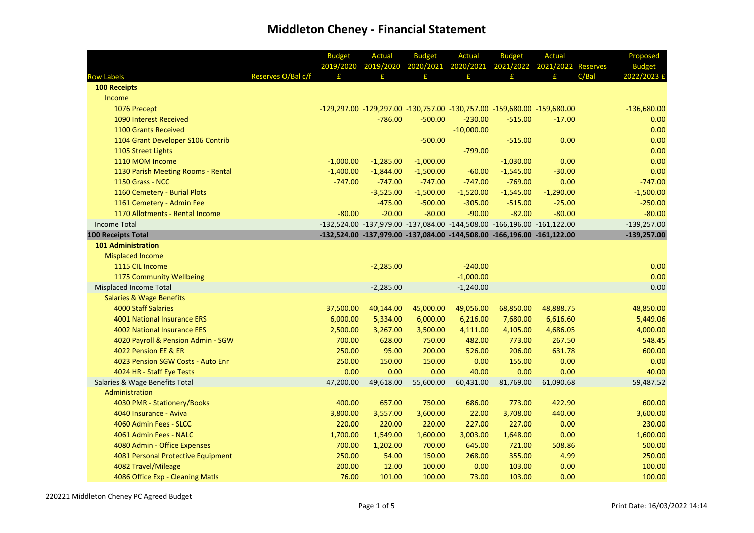|                                     |                    | <b>Budget</b> | Actual      | <b>Budget</b>                                                           | Actual       | <b>Budget</b> | <b>Actual</b>      |       | Proposed      |
|-------------------------------------|--------------------|---------------|-------------|-------------------------------------------------------------------------|--------------|---------------|--------------------|-------|---------------|
|                                     |                    | 2019/2020     | 2019/2020   | 2020/2021                                                               | 2020/2021    | 2021/2022     | 2021/2022 Reserves |       | <b>Budget</b> |
| <b>Row Labels</b>                   | Reserves O/Bal c/f | £             | £           | £                                                                       | £            | £.            | f                  | C/Bal | 2022/2023 £   |
| <b>100 Receipts</b>                 |                    |               |             |                                                                         |              |               |                    |       |               |
| Income                              |                    |               |             |                                                                         |              |               |                    |       |               |
| 1076 Precept                        |                    |               |             | -129,297.00 -129,297.00 -130,757.00 -130,757.00 -159,680.00 -159,680.00 |              |               |                    |       | $-136,680.00$ |
| 1090 Interest Received              |                    |               | $-786.00$   | $-500.00$                                                               | $-230.00$    | $-515.00$     | $-17.00$           |       | 0.00          |
| 1100 Grants Received                |                    |               |             |                                                                         | $-10,000.00$ |               |                    |       | 0.00          |
| 1104 Grant Developer S106 Contrib   |                    |               |             | $-500.00$                                                               |              | $-515.00$     | 0.00               |       | 0.00          |
| 1105 Street Lights                  |                    |               |             |                                                                         | $-799.00$    |               |                    |       | 0.00          |
| 1110 MOM Income                     |                    | $-1,000.00$   | $-1,285.00$ | $-1,000.00$                                                             |              | $-1,030.00$   | 0.00               |       | 0.00          |
| 1130 Parish Meeting Rooms - Rental  |                    | $-1,400.00$   | $-1,844.00$ | $-1,500.00$                                                             | $-60.00$     | $-1,545.00$   | $-30.00$           |       | 0.00          |
| 1150 Grass - NCC                    |                    | $-747.00$     | $-747.00$   | $-747.00$                                                               | $-747.00$    | $-769.00$     | 0.00               |       | $-747.00$     |
| 1160 Cemetery - Burial Plots        |                    |               | $-3,525.00$ | $-1,500.00$                                                             | $-1,520.00$  | $-1,545.00$   | $-1,290.00$        |       | $-1,500.00$   |
| 1161 Cemetery - Admin Fee           |                    |               | $-475.00$   | $-500.00$                                                               | $-305.00$    | $-515.00$     | $-25.00$           |       | $-250.00$     |
| 1170 Allotments - Rental Income     |                    | $-80.00$      | $-20.00$    | $-80.00$                                                                | $-90.00$     | $-82.00$      | $-80.00$           |       | $-80.00$      |
| <b>Income Total</b>                 |                    |               |             | -132,524.00 -137,979.00 -137,084.00 -144,508.00 -166,196.00 -161,122.00 |              |               |                    |       | $-139,257.00$ |
| <b>100 Receipts Total</b>           |                    |               |             | -132,524.00 -137,979.00 -137,084.00 -144,508.00 -166,196.00 -161,122.00 |              |               |                    |       | $-139,257.00$ |
| <b>101 Administration</b>           |                    |               |             |                                                                         |              |               |                    |       |               |
| <b>Misplaced Income</b>             |                    |               |             |                                                                         |              |               |                    |       |               |
| 1115 CIL Income                     |                    |               | $-2,285.00$ |                                                                         | $-240.00$    |               |                    |       | 0.00          |
| 1175 Community Wellbeing            |                    |               |             |                                                                         | $-1,000.00$  |               |                    |       | 0.00          |
| <b>Misplaced Income Total</b>       |                    |               | $-2,285.00$ |                                                                         | $-1,240.00$  |               |                    |       | 0.00          |
| <b>Salaries &amp; Wage Benefits</b> |                    |               |             |                                                                         |              |               |                    |       |               |
| <b>4000 Staff Salaries</b>          |                    | 37,500.00     | 40,144.00   | 45,000.00                                                               | 49,056.00    | 68,850.00     | 48,888.75          |       | 48,850.00     |
| 4001 National Insurance ERS         |                    | 6,000.00      | 5,334.00    | 6,000.00                                                                | 6,216.00     | 7,680.00      | 6,616.60           |       | 5,449.06      |
| 4002 National Insurance EES         |                    | 2,500.00      | 3,267.00    | 3,500.00                                                                | 4,111.00     | 4,105.00      | 4,686.05           |       | 4,000.00      |
| 4020 Payroll & Pension Admin - SGW  |                    | 700.00        | 628.00      | 750.00                                                                  | 482.00       | 773.00        | 267.50             |       | 548.45        |
| 4022 Pension EE & ER                |                    | 250.00        | 95.00       | 200.00                                                                  | 526.00       | 206.00        | 631.78             |       | 600.00        |
| 4023 Pension SGW Costs - Auto Enr   |                    | 250.00        | 150.00      | 150.00                                                                  | 0.00         | 155.00        | 0.00               |       | 0.00          |
| 4024 HR - Staff Eye Tests           |                    | 0.00          | 0.00        | 0.00                                                                    | 40.00        | 0.00          | 0.00               |       | 40.00         |
| Salaries & Wage Benefits Total      |                    | 47,200.00     | 49,618.00   | 55,600.00                                                               | 60,431.00    | 81,769.00     | 61,090.68          |       | 59,487.52     |
| Administration                      |                    |               |             |                                                                         |              |               |                    |       |               |
| 4030 PMR - Stationery/Books         |                    | 400.00        | 657.00      | 750.00                                                                  | 686.00       | 773.00        | 422.90             |       | 600.00        |
| 4040 Insurance - Aviva              |                    | 3,800.00      | 3,557.00    | 3,600.00                                                                | 22.00        | 3,708.00      | 440.00             |       | 3,600.00      |
| 4060 Admin Fees - SLCC              |                    | 220.00        | 220.00      | 220.00                                                                  | 227.00       | 227.00        | 0.00               |       | 230.00        |
| 4061 Admin Fees - NALC              |                    | 1,700.00      | 1,549.00    | 1,600.00                                                                | 3,003.00     | 1,648.00      | 0.00               |       | 1,600.00      |
| 4080 Admin - Office Expenses        |                    | 700.00        | 1,202.00    | 700.00                                                                  | 645.00       | 721.00        | 508.86             |       | 500.00        |
| 4081 Personal Protective Equipment  |                    | 250.00        | 54.00       | 150.00                                                                  | 268.00       | 355.00        | 4.99               |       | 250.00        |
| 4082 Travel/Mileage                 |                    | 200.00        | 12.00       | 100.00                                                                  | 0.00         | 103.00        | 0.00               |       | 100.00        |
| 4086 Office Exp - Cleaning Matls    |                    | 76.00         | 101.00      | 100.00                                                                  | 73.00        | 103.00        | 0.00               |       | 100.00        |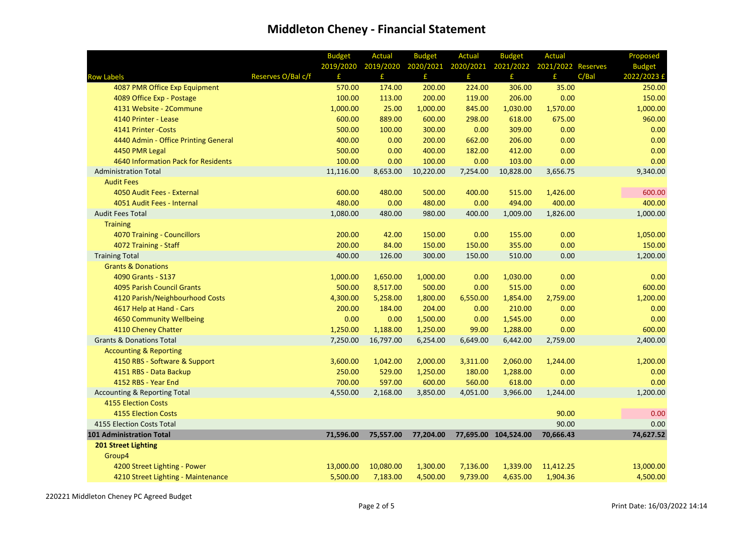|                                         |                    | <b>Budget</b> | <b>Actual</b> | <b>Budget</b> | <b>Actual</b>                                    | <b>Budget</b>        | <b>Actual</b> |       | Proposed      |
|-----------------------------------------|--------------------|---------------|---------------|---------------|--------------------------------------------------|----------------------|---------------|-------|---------------|
|                                         |                    | 2019/2020     | 2019/2020     |               | 2020/2021 2020/2021 2021/2022 2021/2022 Reserves |                      |               |       | <b>Budget</b> |
| <b>Row Labels</b>                       | Reserves O/Bal c/f | £             | £.            | £             | £                                                | £                    | £             | C/Bal | 2022/2023 £   |
| 4087 PMR Office Exp Equipment           |                    | 570.00        | 174.00        | 200.00        | 224.00                                           | 306.00               | 35.00         |       | 250.00        |
| 4089 Office Exp - Postage               |                    | 100.00        | 113.00        | 200.00        | 119.00                                           | 206.00               | 0.00          |       | 150.00        |
| 4131 Website - 2Commune                 |                    | 1,000.00      | 25.00         | 1,000.00      | 845.00                                           | 1,030.00             | 1,570.00      |       | 1,000.00      |
| 4140 Printer - Lease                    |                    | 600.00        | 889.00        | 600.00        | 298.00                                           | 618.00               | 675.00        |       | 960.00        |
| 4141 Printer - Costs                    |                    | 500.00        | 100.00        | 300.00        | 0.00                                             | 309.00               | 0.00          |       | 0.00          |
| 4440 Admin - Office Printing General    |                    | 400.00        | 0.00          | 200.00        | 662.00                                           | 206.00               | 0.00          |       | 0.00          |
| 4450 PMR Legal                          |                    | 500.00        | 0.00          | 400.00        | 182.00                                           | 412.00               | 0.00          |       | 0.00          |
| 4640 Information Pack for Residents     |                    | 100.00        | 0.00          | 100.00        | 0.00                                             | 103.00               | 0.00          |       | 0.00          |
| <b>Administration Total</b>             |                    | 11,116.00     | 8,653.00      | 10,220.00     | 7,254.00                                         | 10,828.00            | 3,656.75      |       | 9,340.00      |
| <b>Audit Fees</b>                       |                    |               |               |               |                                                  |                      |               |       |               |
| 4050 Audit Fees - External              |                    | 600.00        | 480.00        | 500.00        | 400.00                                           | 515.00               | 1,426.00      |       | 600.00        |
| 4051 Audit Fees - Internal              |                    | 480.00        | 0.00          | 480.00        | 0.00                                             | 494.00               | 400.00        |       | 400.00        |
| <b>Audit Fees Total</b>                 |                    | 1,080.00      | 480.00        | 980.00        | 400.00                                           | 1,009.00             | 1,826.00      |       | 1,000.00      |
| <b>Training</b>                         |                    |               |               |               |                                                  |                      |               |       |               |
| 4070 Training - Councillors             |                    | 200.00        | 42.00         | 150.00        | 0.00                                             | 155.00               | 0.00          |       | 1,050.00      |
| 4072 Training - Staff                   |                    | 200.00        | 84.00         | 150.00        | 150.00                                           | 355.00               | 0.00          |       | 150.00        |
| <b>Training Total</b>                   |                    | 400.00        | 126.00        | 300.00        | 150.00                                           | 510.00               | 0.00          |       | 1,200.00      |
| <b>Grants &amp; Donations</b>           |                    |               |               |               |                                                  |                      |               |       |               |
| 4090 Grants - S137                      |                    | 1,000.00      | 1,650.00      | 1,000.00      | 0.00                                             | 1,030.00             | 0.00          |       | 0.00          |
| <b>4095 Parish Council Grants</b>       |                    | 500.00        | 8,517.00      | 500.00        | 0.00                                             | 515.00               | 0.00          |       | 600.00        |
| 4120 Parish/Neighbourhood Costs         |                    | 4,300.00      | 5,258.00      | 1,800.00      | 6,550.00                                         | 1,854.00             | 2,759.00      |       | 1,200.00      |
| 4617 Help at Hand - Cars                |                    | 200.00        | 184.00        | 204.00        | 0.00                                             | 210.00               | 0.00          |       | 0.00          |
| 4650 Community Wellbeing                |                    | 0.00          | 0.00          | 1,500.00      | 0.00                                             | 1,545.00             | 0.00          |       | 0.00          |
| 4110 Cheney Chatter                     |                    | 1,250.00      | 1,188.00      | 1,250.00      | 99.00                                            | 1,288.00             | 0.00          |       | 600.00        |
| <b>Grants &amp; Donations Total</b>     |                    | 7,250.00      | 16,797.00     | 6,254.00      | 6,649.00                                         | 6,442.00             | 2,759.00      |       | 2,400.00      |
| <b>Accounting &amp; Reporting</b>       |                    |               |               |               |                                                  |                      |               |       |               |
| 4150 RBS - Software & Support           |                    | 3,600.00      | 1,042.00      | 2,000.00      | 3,311.00                                         | 2,060.00             | 1,244.00      |       | 1,200.00      |
| 4151 RBS - Data Backup                  |                    | 250.00        | 529.00        | 1,250.00      | 180.00                                           | 1,288.00             | 0.00          |       | 0.00          |
| 4152 RBS - Year End                     |                    | 700.00        | 597.00        | 600.00        | 560.00                                           | 618.00               | 0.00          |       | 0.00          |
| <b>Accounting &amp; Reporting Total</b> |                    | 4,550.00      | 2,168.00      | 3,850.00      | 4,051.00                                         | 3,966.00             | 1,244.00      |       | 1,200.00      |
| <b>4155 Election Costs</b>              |                    |               |               |               |                                                  |                      |               |       |               |
| <b>4155 Election Costs</b>              |                    |               |               |               |                                                  |                      | 90.00         |       | 0.00          |
| 4155 Election Costs Total               |                    |               |               |               |                                                  |                      | 90.00         |       | 0.00          |
| <b>101 Administration Total</b>         |                    | 71,596.00     | 75,557.00     | 77,204.00     |                                                  | 77,695.00 104,524.00 | 70,666.43     |       | 74,627.52     |
| <b>201 Street Lighting</b>              |                    |               |               |               |                                                  |                      |               |       |               |
| Group4                                  |                    |               |               |               |                                                  |                      |               |       |               |
| 4200 Street Lighting - Power            |                    | 13,000.00     | 10,080.00     | 1,300.00      | 7,136.00                                         | 1,339.00             | 11,412.25     |       | 13,000.00     |
| 4210 Street Lighting - Maintenance      |                    | 5,500.00      | 7,183.00      | 4,500.00      | 9,739.00                                         | 4,635.00             | 1,904.36      |       | 4,500.00      |

220221 Middleton Cheney PC Agreed Budget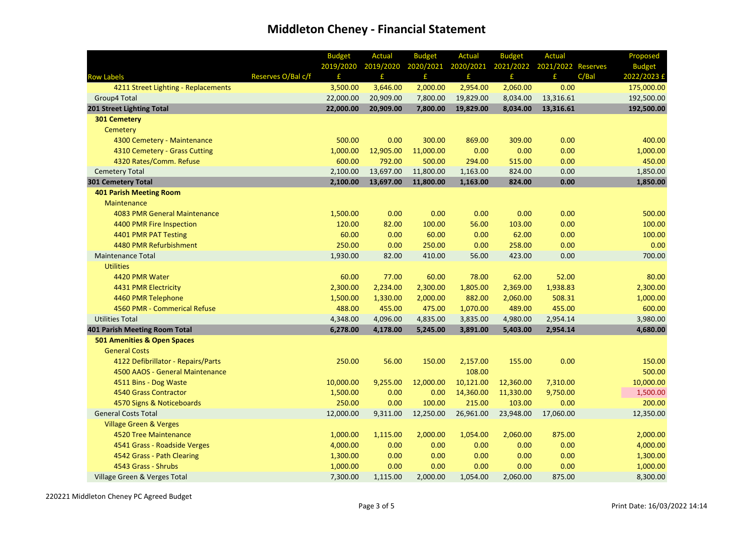|                                     |                    | <b>Budget</b> | Actual    | <b>Budget</b> | <b>Actual</b> | <b>Budget</b> | <b>Actual</b>                |       | Proposed      |
|-------------------------------------|--------------------|---------------|-----------|---------------|---------------|---------------|------------------------------|-------|---------------|
|                                     |                    | 2019/2020     | 2019/2020 | 2020/2021     | 2020/2021     |               | 2021/2022 2021/2022 Reserves |       | <b>Budget</b> |
| <b>Row Labels</b>                   | Reserves O/Bal c/f | £             | £         | £             | £             | £             | £                            | C/Bal | 2022/2023 £   |
| 4211 Street Lighting - Replacements |                    | 3,500.00      | 3,646.00  | 2,000.00      | 2,954.00      | 2,060.00      | 0.00                         |       | 175,000.00    |
| Group4 Total                        |                    | 22,000.00     | 20,909.00 | 7,800.00      | 19,829.00     | 8,034.00      | 13,316.61                    |       | 192,500.00    |
| 201 Street Lighting Total           |                    | 22,000.00     | 20,909.00 | 7,800.00      | 19,829.00     | 8,034.00      | 13,316.61                    |       | 192,500.00    |
| <b>301 Cemetery</b>                 |                    |               |           |               |               |               |                              |       |               |
| Cemetery                            |                    |               |           |               |               |               |                              |       |               |
| 4300 Cemetery - Maintenance         |                    | 500.00        | 0.00      | 300.00        | 869.00        | 309.00        | 0.00                         |       | 400.00        |
| 4310 Cemetery - Grass Cutting       |                    | 1,000.00      | 12,905.00 | 11,000.00     | 0.00          | 0.00          | 0.00                         |       | 1,000.00      |
| 4320 Rates/Comm. Refuse             |                    | 600.00        | 792.00    | 500.00        | 294.00        | 515.00        | 0.00                         |       | 450.00        |
| <b>Cemetery Total</b>               |                    | 2,100.00      | 13,697.00 | 11,800.00     | 1,163.00      | 824.00        | 0.00                         |       | 1,850.00      |
| <b>301 Cemetery Total</b>           |                    | 2,100.00      | 13,697.00 | 11,800.00     | 1,163.00      | 824.00        | 0.00                         |       | 1,850.00      |
| <b>401 Parish Meeting Room</b>      |                    |               |           |               |               |               |                              |       |               |
| <b>Maintenance</b>                  |                    |               |           |               |               |               |                              |       |               |
| 4083 PMR General Maintenance        |                    | 1,500.00      | 0.00      | 0.00          | 0.00          | 0.00          | 0.00                         |       | 500.00        |
| 4400 PMR Fire Inspection            |                    | 120.00        | 82.00     | 100.00        | 56.00         | 103.00        | 0.00                         |       | 100.00        |
| 4401 PMR PAT Testing                |                    | 60.00         | 0.00      | 60.00         | 0.00          | 62.00         | 0.00                         |       | 100.00        |
| 4480 PMR Refurbishment              |                    | 250.00        | 0.00      | 250.00        | 0.00          | 258.00        | 0.00                         |       | 0.00          |
| <b>Maintenance Total</b>            |                    | 1,930.00      | 82.00     | 410.00        | 56.00         | 423.00        | 0.00                         |       | 700.00        |
| <b>Utilities</b>                    |                    |               |           |               |               |               |                              |       |               |
| 4420 PMR Water                      |                    | 60.00         | 77.00     | 60.00         | 78.00         | 62.00         | 52.00                        |       | 80.00         |
| 4431 PMR Electricity                |                    | 2,300.00      | 2,234.00  | 2,300.00      | 1,805.00      | 2,369.00      | 1,938.83                     |       | 2,300.00      |
| 4460 PMR Telephone                  |                    | 1,500.00      | 1,330.00  | 2,000.00      | 882.00        | 2,060.00      | 508.31                       |       | 1,000.00      |
| 4560 PMR - Commerical Refuse        |                    | 488.00        | 455.00    | 475.00        | 1,070.00      | 489.00        | 455.00                       |       | 600.00        |
| <b>Utilities Total</b>              |                    | 4,348.00      | 4,096.00  | 4,835.00      | 3,835.00      | 4,980.00      | 2,954.14                     |       | 3,980.00      |
| 401 Parish Meeting Room Total       |                    | 6,278.00      | 4,178.00  | 5,245.00      | 3,891.00      | 5,403.00      | 2,954.14                     |       | 4,680.00      |
| 501 Amenities & Open Spaces         |                    |               |           |               |               |               |                              |       |               |
| <b>General Costs</b>                |                    |               |           |               |               |               |                              |       |               |
| 4122 Defibrillator - Repairs/Parts  |                    | 250.00        | 56.00     | 150.00        | 2,157.00      | 155.00        | 0.00                         |       | 150.00        |
| 4500 AAOS - General Maintenance     |                    |               |           |               | 108.00        |               |                              |       | 500.00        |
| 4511 Bins - Dog Waste               |                    | 10,000.00     | 9,255.00  | 12,000.00     | 10,121.00     | 12,360.00     | 7,310.00                     |       | 10,000.00     |
| 4540 Grass Contractor               |                    | 1,500.00      | 0.00      | 0.00          | 14,360.00     | 11,330.00     | 9,750.00                     |       | 1,500.00      |
| 4570 Signs & Noticeboards           |                    | 250.00        | 0.00      | 100.00        | 215.00        | 103.00        | 0.00                         |       | 200.00        |
| <b>General Costs Total</b>          |                    | 12,000.00     | 9,311.00  | 12,250.00     | 26,961.00     | 23,948.00     | 17,060.00                    |       | 12,350.00     |
| <b>Village Green &amp; Verges</b>   |                    |               |           |               |               |               |                              |       |               |
| 4520 Tree Maintenance               |                    | 1,000.00      | 1,115.00  | 2,000.00      | 1,054.00      | 2,060.00      | 875.00                       |       | 2,000.00      |
| 4541 Grass - Roadside Verges        |                    | 4,000.00      | 0.00      | 0.00          | 0.00          | 0.00          | 0.00                         |       | 4,000.00      |
| 4542 Grass - Path Clearing          |                    | 1,300.00      | 0.00      | 0.00          | 0.00          | 0.00          | 0.00                         |       | 1,300.00      |
| 4543 Grass - Shrubs                 |                    | 1,000.00      | 0.00      | 0.00          | 0.00          | 0.00          | 0.00                         |       | 1,000.00      |
| Village Green & Verges Total        |                    | 7,300.00      | 1,115.00  | 2,000.00      | 1,054.00      | 2,060.00      | 875.00                       |       | 8,300.00      |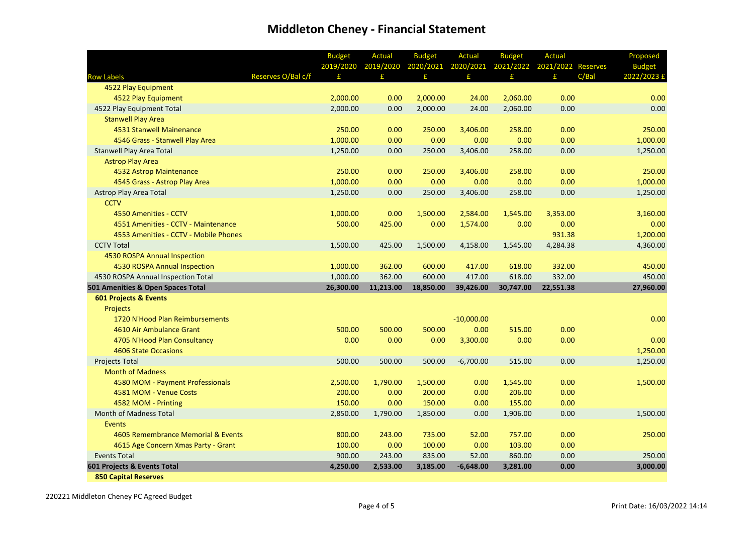|                                       |                    | <b>Budget</b> | <b>Actual</b> | <b>Budget</b>       | <b>Actual</b> | <b>Budget</b> | <b>Actual</b>                |       | Proposed      |
|---------------------------------------|--------------------|---------------|---------------|---------------------|---------------|---------------|------------------------------|-------|---------------|
|                                       |                    | 2019/2020     | 2019/2020     | 2020/2021 2020/2021 |               |               | 2021/2022 2021/2022 Reserves |       | <b>Budget</b> |
| <b>Row Labels</b>                     | Reserves O/Bal c/f | £             | £             | £                   | £             | £             | £                            | C/Bal | 2022/2023 £   |
| 4522 Play Equipment                   |                    |               |               |                     |               |               |                              |       |               |
| 4522 Play Equipment                   |                    | 2,000.00      | 0.00          | 2,000.00            | 24.00         | 2,060.00      | 0.00                         |       | 0.00          |
| 4522 Play Equipment Total             |                    | 2,000.00      | 0.00          | 2,000.00            | 24.00         | 2,060.00      | 0.00                         |       | 0.00          |
| <b>Stanwell Play Area</b>             |                    |               |               |                     |               |               |                              |       |               |
| 4531 Stanwell Mainenance              |                    | 250.00        | 0.00          | 250.00              | 3,406.00      | 258.00        | 0.00                         |       | 250.00        |
| 4546 Grass - Stanwell Play Area       |                    | 1,000.00      | 0.00          | 0.00                | 0.00          | 0.00          | 0.00                         |       | 1,000.00      |
| <b>Stanwell Play Area Total</b>       |                    | 1,250.00      | 0.00          | 250.00              | 3,406.00      | 258.00        | 0.00                         |       | 1,250.00      |
| <b>Astrop Play Area</b>               |                    |               |               |                     |               |               |                              |       |               |
| 4532 Astrop Maintenance               |                    | 250.00        | 0.00          | 250.00              | 3,406.00      | 258.00        | 0.00                         |       | 250.00        |
| 4545 Grass - Astrop Play Area         |                    | 1,000.00      | 0.00          | 0.00                | 0.00          | 0.00          | 0.00                         |       | 1,000.00      |
| <b>Astrop Play Area Total</b>         |                    | 1,250.00      | 0.00          | 250.00              | 3,406.00      | 258.00        | 0.00                         |       | 1,250.00      |
| <b>CCTV</b>                           |                    |               |               |                     |               |               |                              |       |               |
| 4550 Amenities - CCTV                 |                    | 1,000.00      | 0.00          | 1,500.00            | 2,584.00      | 1,545.00      | 3,353.00                     |       | 3,160.00      |
| 4551 Amenities - CCTV - Maintenance   |                    | 500.00        | 425.00        | 0.00                | 1,574.00      | 0.00          | 0.00                         |       | 0.00          |
| 4553 Amenities - CCTV - Mobile Phones |                    |               |               |                     |               |               | 931.38                       |       | 1,200.00      |
| <b>CCTV Total</b>                     |                    | 1,500.00      | 425.00        | 1,500.00            | 4,158.00      | 1,545.00      | 4,284.38                     |       | 4,360.00      |
| 4530 ROSPA Annual Inspection          |                    |               |               |                     |               |               |                              |       |               |
| 4530 ROSPA Annual Inspection          |                    | 1,000.00      | 362.00        | 600.00              | 417.00        | 618.00        | 332.00                       |       | 450.00        |
| 4530 ROSPA Annual Inspection Total    |                    | 1,000.00      | 362.00        | 600.00              | 417.00        | 618.00        | 332.00                       |       | 450.00        |
| 501 Amenities & Open Spaces Total     |                    | 26,300.00     | 11,213.00     | 18,850.00           | 39,426.00     | 30,747.00     | 22,551.38                    |       | 27,960.00     |
| <b>601 Projects &amp; Events</b>      |                    |               |               |                     |               |               |                              |       |               |
| <b>Projects</b>                       |                    |               |               |                     |               |               |                              |       |               |
| 1720 N'Hood Plan Reimbursements       |                    |               |               |                     | $-10,000.00$  |               |                              |       | 0.00          |
| 4610 Air Ambulance Grant              |                    | 500.00        | 500.00        | 500.00              | 0.00          | 515.00        | 0.00                         |       |               |
| 4705 N'Hood Plan Consultancy          |                    | 0.00          | 0.00          | 0.00                | 3,300.00      | 0.00          | 0.00                         |       | 0.00          |
| <b>4606 State Occasions</b>           |                    |               |               |                     |               |               |                              |       | 1,250.00      |
| <b>Projects Total</b>                 |                    | 500.00        | 500.00        | 500.00              | $-6,700.00$   | 515.00        | 0.00                         |       | 1,250.00      |
| <b>Month of Madness</b>               |                    |               |               |                     |               |               |                              |       |               |
| 4580 MOM - Payment Professionals      |                    | 2,500.00      | 1,790.00      | 1,500.00            | 0.00          | 1,545.00      | 0.00                         |       | 1,500.00      |
| 4581 MOM - Venue Costs                |                    | 200.00        | 0.00          | 200.00              | 0.00          | 206.00        | 0.00                         |       |               |
| 4582 MOM - Printing                   |                    | 150.00        | 0.00          | 150.00              | 0.00          | 155.00        | 0.00                         |       |               |
| <b>Month of Madness Total</b>         |                    | 2,850.00      | 1,790.00      | 1,850.00            | 0.00          | 1,906.00      | 0.00                         |       | 1,500.00      |
| Events                                |                    |               |               |                     |               |               |                              |       |               |
| 4605 Remembrance Memorial & Events    |                    | 800.00        | 243.00        | 735.00              | 52.00         | 757.00        | 0.00                         |       | 250.00        |
| 4615 Age Concern Xmas Party - Grant   |                    | 100.00        | 0.00          | 100.00              | 0.00          | 103.00        | 0.00                         |       |               |
| <b>Events Total</b>                   |                    | 900.00        | 243.00        | 835.00              | 52.00         | 860.00        | 0.00                         |       | 250.00        |
| 601 Projects & Events Total           |                    | 4,250.00      | 2,533.00      | 3,185.00            | $-6,648.00$   | 3,281.00      | 0.00                         |       | 3,000.00      |
| <b>850 Capital Reserves</b>           |                    |               |               |                     |               |               |                              |       |               |

220221 Middleton Cheney PC Agreed Budget